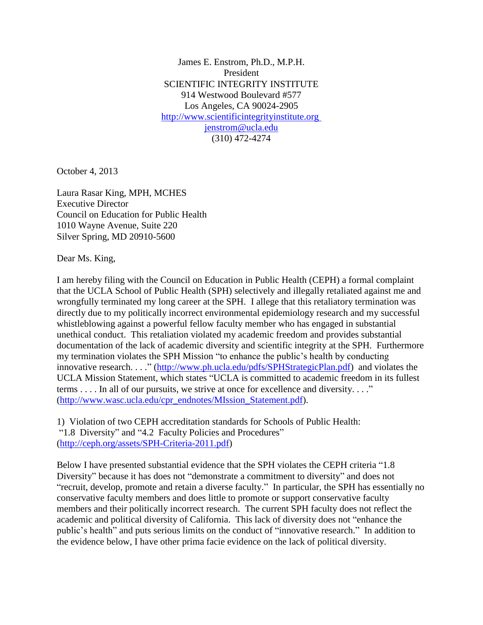James E. Enstrom, Ph.D., M.P.H. President SCIENTIFIC INTEGRITY INSTITUTE 914 Westwood Boulevard #577 Los Angeles, CA 90024-2905 [http://www.scientificintegrityinstitute.org](http://www.scientificintegrityinstitute.org/) [jenstrom@ucla.edu](mailto:jenstrom@ucla.edu) (310) 472-4274

October 4, 2013

Laura Rasar King, MPH, MCHES Executive Director Council on Education for Public Health 1010 Wayne Avenue, Suite 220 Silver Spring, MD 20910-5600

Dear Ms. King,

I am hereby filing with the Council on Education in Public Health (CEPH) a formal complaint that the UCLA School of Public Health (SPH) selectively and illegally retaliated against me and wrongfully terminated my long career at the SPH. I allege that this retaliatory termination was directly due to my politically incorrect environmental epidemiology research and my successful whistleblowing against a powerful fellow faculty member who has engaged in substantial unethical conduct. This retaliation violated my academic freedom and provides substantial documentation of the lack of academic diversity and scientific integrity at the SPH. Furthermore my termination violates the SPH Mission "to enhance the public's health by conducting innovative research. . . ." [\(http://www.ph.ucla.edu/pdfs/SPHStrategicPlan.pdf\)](http://www.ph.ucla.edu/pdfs/SPHStrategicPlan.pdf) and violates the UCLA Mission Statement, which states "UCLA is committed to academic freedom in its fullest terms . . . . In all of our pursuits, we strive at once for excellence and diversity. . . ." [\(http://www.wasc.ucla.edu/cpr\\_endnotes/MIssion\\_Statement.pdf\)](http://www.wasc.ucla.edu/cpr_endnotes/MIssion_Statement.pdf).

1) Violation of two CEPH accreditation standards for Schools of Public Health: "1.8 Diversity" and "4.2 Faculty Policies and Procedures" [\(http://ceph.org/assets/SPH-Criteria-2011.pdf\)](http://ceph.org/assets/SPH-Criteria-2011.pdf)

Below I have presented substantial evidence that the SPH violates the CEPH criteria "1.8 Diversity" because it has does not "demonstrate a commitment to diversity" and does not "recruit, develop, promote and retain a diverse faculty." In particular, the SPH has essentially no conservative faculty members and does little to promote or support conservative faculty members and their politically incorrect research. The current SPH faculty does not reflect the academic and political diversity of California. This lack of diversity does not "enhance the public's health" and puts serious limits on the conduct of "innovative research." In addition to the evidence below, I have other prima facie evidence on the lack of political diversity.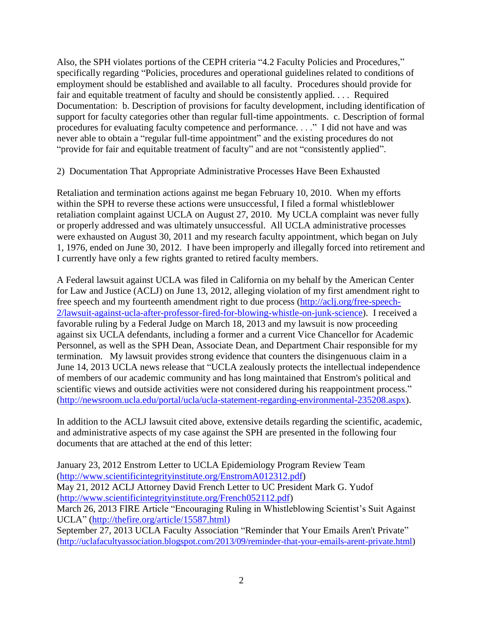Also, the SPH violates portions of the CEPH criteria "4.2 Faculty Policies and Procedures," specifically regarding "Policies, procedures and operational guidelines related to conditions of employment should be established and available to all faculty. Procedures should provide for fair and equitable treatment of faculty and should be consistently applied. . . . Required Documentation: b. Description of provisions for faculty development, including identification of support for faculty categories other than regular full-time appointments. c. Description of formal procedures for evaluating faculty competence and performance. . . ." I did not have and was never able to obtain a "regular full-time appointment" and the existing procedures do not "provide for fair and equitable treatment of faculty" and are not "consistently applied".

## 2) Documentation That Appropriate Administrative Processes Have Been Exhausted

Retaliation and termination actions against me began February 10, 2010. When my efforts within the SPH to reverse these actions were unsuccessful, I filed a formal whistleblower retaliation complaint against UCLA on August 27, 2010. My UCLA complaint was never fully or properly addressed and was ultimately unsuccessful. All UCLA administrative processes were exhausted on August 30, 2011 and my research faculty appointment, which began on July 1, 1976, ended on June 30, 2012. I have been improperly and illegally forced into retirement and I currently have only a few rights granted to retired faculty members.

A Federal lawsuit against UCLA was filed in California on my behalf by the American Center for Law and Justice (ACLJ) on June 13, 2012, alleging violation of my first amendment right to free speech and my fourteenth amendment right to due process [\(http://aclj.org/free-speech-](http://aclj.org/free-speech-2/lawsuit-against-ucla-after-professor-fired-for-blowing-whistle-on-junk-science)[2/lawsuit-against-ucla-after-professor-fired-for-blowing-whistle-on-junk-science\)](http://aclj.org/free-speech-2/lawsuit-against-ucla-after-professor-fired-for-blowing-whistle-on-junk-science). I received a favorable ruling by a Federal Judge on March 18, 2013 and my lawsuit is now proceeding against six UCLA defendants, including a former and a current Vice Chancellor for Academic Personnel, as well as the SPH Dean, Associate Dean, and Department Chair responsible for my termination. My lawsuit provides strong evidence that counters the disingenuous claim in a June 14, 2013 UCLA news release that "UCLA zealously protects the intellectual independence of members of our academic community and has long maintained that Enstrom's political and scientific views and outside activities were not considered during his reappointment process." [\(http://newsroom.ucla.edu/portal/ucla/ucla-statement-regarding-environmental-235208.aspx\)](http://newsroom.ucla.edu/portal/ucla/ucla-statement-regarding-environmental-235208.aspx).

In addition to the ACLJ lawsuit cited above, extensive details regarding the scientific, academic, and administrative aspects of my case against the SPH are presented in the following four documents that are attached at the end of this letter:

January 23, 2012 Enstrom Letter to UCLA Epidemiology Program Review Team [\(http://www.scientificintegrityinstitute.org/EnstromA012312.pdf\)](http://www.scientificintegrityinstitute.org/EnstromA012312.pdf) May 21, 2012 ACLJ Attorney David French Letter to UC President Mark G. Yudof [\(http://www.scientificintegrityinstitute.org/French052112.pdf\)](http://www.scientificintegrityinstitute.org/French052112.pdf) March 26, 2013 FIRE Article "Encouraging Ruling in Whistleblowing Scientist's Suit Against UCLA" [\(http://thefire.org/article/15587.html\)](http://thefire.org/article/15587.html) September 27, 2013 UCLA Faculty Association "Reminder that Your Emails Aren't Private" [\(http://uclafacultyassociation.blogspot.com/2013/09/reminder-that-your-emails-arent-private.html\)](http://uclafacultyassociation.blogspot.com/2013/09/reminder-that-your-emails-arent-private.html)